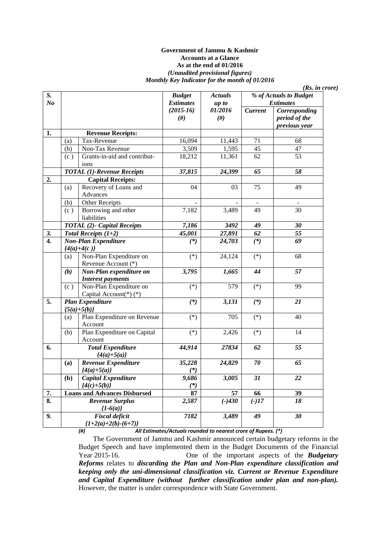#### **Government of Jammu & Kashmir Accounts at a Glance As at the end of 01/2016**  *(Unaudited provisional figures) Monthly Key Indicator for the month of 01/2016*

*(Rs. in crore)* 

| S.               |     |                                     | <b>Budget</b>    | <b>Actuals</b>   | % of Actuals to Budget |                          |
|------------------|-----|-------------------------------------|------------------|------------------|------------------------|--------------------------|
| N <sub>o</sub>   |     |                                     | <b>Estimates</b> | up to            |                        | <b>Estimates</b>         |
|                  |     |                                     | $(2015-16)$      | 01/2016          | <b>Current</b>         | Corresponding            |
|                  |     |                                     | $(\#)$           | #)               |                        | period of the            |
|                  |     |                                     |                  |                  |                        | previous year            |
| 1.               |     | <b>Revenue Receipts:</b>            |                  |                  |                        |                          |
|                  | (a) | Tax-Revenue                         | 16,094           | 11,443           | 71                     | 68                       |
|                  | (b) | Non-Tax Revenue                     | 3,509            | 1,595            | 45                     | $\overline{47}$          |
|                  | (c) | Grants-in-aid and contribut-        | 18,212           | 11,361           | 62                     | 53                       |
|                  |     | ions                                |                  |                  |                        |                          |
|                  |     | <b>TOTAL</b> (1)-Revenue Receipts   | 37,815           | 24,399           | 65                     | 58                       |
| 2.               |     | <b>Capital Receipts:</b>            |                  |                  |                        |                          |
|                  | (a) | Recovery of Loans and               | 04               | 03               | 75                     | 49                       |
|                  |     | Advances                            |                  |                  |                        |                          |
|                  | (b) | Other Receipts                      |                  |                  | $\blacksquare$         | $\overline{\phantom{a}}$ |
|                  | (c) | Borrowing and other                 | 7,182            | 3,489            | 49                     | 30                       |
|                  |     | liabilities                         |                  |                  |                        |                          |
|                  |     | <b>TOTAL (2)- Capital Receipts</b>  | 7,186            | 3492             | 49                     | 30                       |
| 3.               |     | Total Receipts $(1+2)$              | 45,001           | 27,891           | 62                     | 55                       |
| $\overline{4}$ . |     | <b>Non-Plan Expenditure</b>         | $(*)$            | 24,703           | $(*)$                  | $\overline{69}$          |
|                  |     | ${4(a)+4(c)}$                       |                  |                  |                        |                          |
|                  | (a) | Non-Plan Expenditure on             | $(*)$            | 24,124           | $(*)$                  | 68                       |
|                  |     | Revenue Account (*)                 |                  |                  |                        |                          |
|                  | (b) | Non-Plan expenditure on             | 3,795            | 1,665            | 44                     | 57                       |
|                  |     | <b>Interest payments</b>            |                  |                  |                        |                          |
|                  | (c) | Non-Plan Expenditure on             | $(*)$            | 579              | $(*)$                  | 99                       |
|                  |     | Capital Account(*)(*)               |                  |                  |                        |                          |
| 5.               |     | <b>Plan Expenditure</b>             | $(*)$            | 3,131            | $(*)$                  | 21                       |
|                  |     | ${5(a)+5(b)}$                       |                  |                  |                        |                          |
|                  | (a) | Plan Expenditure on Revenue         | $(\ast)$         | $\overline{705}$ | $(*)$                  | $\overline{40}$          |
|                  |     | Account                             |                  |                  |                        |                          |
|                  | (b) | Plan Expenditure on Capital         | $(*)$            | 2,426            | $(*)$                  | 14                       |
|                  |     | Account                             |                  |                  |                        |                          |
| 6.               |     | <b>Total Expenditure</b>            | 44,914           | 27834            | 62                     | 55                       |
|                  |     | ${4(a)+5(a)}$                       |                  |                  |                        |                          |
|                  | (a) | Revenue Expenditure                 | 35,228           | 24,829           | 70                     | 65                       |
|                  |     | ${4(a)+5(a)}$                       | $(*)$            |                  |                        |                          |
|                  | (b) | Capital Expenditure                 | 9,686            | 3,005            | $\overline{31}$        | 22                       |
|                  |     | ${4(c)+5(b)}$                       | $(*)$            |                  |                        |                          |
| 7.               |     | <b>Loans and Advances Disbursed</b> | 87               | 57               | 66                     | $\overline{39}$          |
| 8.               |     | <b>Revenue Surplus</b>              | 2,587            | $(-)430$         | $(-)17$                | 18                       |
|                  |     | ${1-6(a)}$                          |                  |                  |                        |                          |
| 9.               |     | <b>Fiscal deficit</b>               | 7182             | 3,489            | 49                     | 30                       |
|                  |     | ${1+2(a)+2(b)-(6+7)}$               |                  |                  |                        |                          |
|                  |     |                                     |                  |                  |                        |                          |

*(#) All Estimates/Actuals rounded to nearest crore of Rupees. (\*)* 

The Government of Jammu and Kashmir announced certain budgetary reforms in the Budget Speech and have implemented them in the Budget Documents of the Financial Year 2015-16. One of the important aspects of the *Budgetary Reforms* relates to *discarding the Plan and Non-Plan expenditure classification and keeping only the uni-dimensional classification viz. Current or Revenue Expenditure and Capital Expenditure (without further classification under plan and non-plan).*  However, the matter is under correspondence with State Government.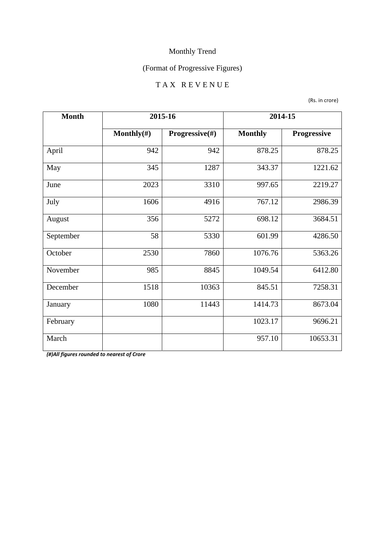## (Format of Progressive Figures)

#### T A X R E V E N U E

(Rs. in crore)

| <b>Month</b> | 2015-16        |                | 2014-15        |             |
|--------------|----------------|----------------|----------------|-------------|
|              | Monthly $(\#)$ | Progressive(#) | <b>Monthly</b> | Progressive |
| April        | 942            | 942            | 878.25         | 878.25      |
| May          | 345            | 1287           | 343.37         | 1221.62     |
| June         | 2023           | 3310           | 997.65         | 2219.27     |
| July         | 1606           | 4916           | 767.12         | 2986.39     |
| August       | 356            | 5272           | 698.12         | 3684.51     |
| September    | 58             | 5330           | 601.99         | 4286.50     |
| October      | 2530           | 7860           | 1076.76        | 5363.26     |
| November     | 985            | 8845           | 1049.54        | 6412.80     |
| December     | 1518           | 10363          | 845.51         | 7258.31     |
| January      | 1080           | 11443          | 1414.73        | 8673.04     |
| February     |                |                | 1023.17        | 9696.21     |
| March        |                |                | 957.10         | 10653.31    |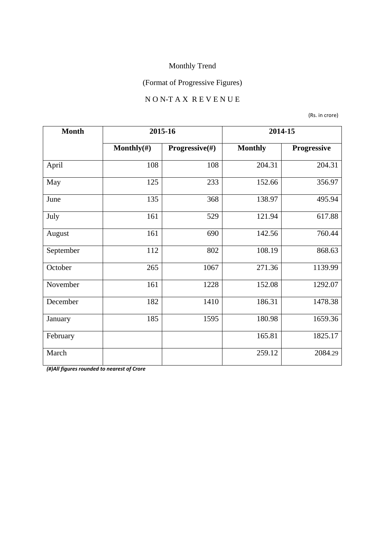## (Format of Progressive Figures)

#### N O N-T A X R E V E N U E

(Rs. in crore)

| <b>Month</b> | 2015-16        |                           |                | 2014-15     |
|--------------|----------------|---------------------------|----------------|-------------|
|              | Monthly $(\#)$ | <b>Progressive</b> $(\#)$ | <b>Monthly</b> | Progressive |
| April        | 108            | 108                       | 204.31         | 204.31      |
| May          | 125            | 233                       | 152.66         | 356.97      |
| June         | 135            | 368                       | 138.97         | 495.94      |
| July         | 161            | 529                       | 121.94         | 617.88      |
| August       | 161            | 690                       | 142.56         | 760.44      |
| September    | 112            | 802                       | 108.19         | 868.63      |
| October      | 265            | 1067                      | 271.36         | 1139.99     |
| November     | 161            | 1228                      | 152.08         | 1292.07     |
| December     | 182            | 1410                      | 186.31         | 1478.38     |
| January      | 185            | 1595                      | 180.98         | 1659.36     |
| February     |                |                           | 165.81         | 1825.17     |
| March        |                |                           | 259.12         | 2084.29     |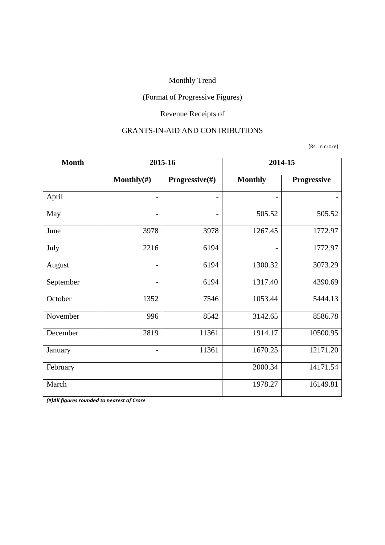## (Format of Progressive Figures)

## Revenue Receipts of

#### GRANTS-IN-AID AND CONTRIBUTIONS

(Rs. in crore)

| <b>Month</b> | 2015-16                  |                | 2014-15        |             |
|--------------|--------------------------|----------------|----------------|-------------|
|              | Monthly $(\#)$           | Progressive(#) | <b>Monthly</b> | Progressive |
| April        | -                        |                |                |             |
| May          |                          |                | 505.52         | 505.52      |
| June         | 3978                     | 3978           | 1267.45        | 1772.97     |
| July         | 2216                     | 6194           |                | 1772.97     |
| August       | $\overline{\phantom{0}}$ | 6194           | 1300.32        | 3073.29     |
| September    | $\qquad \qquad$          | 6194           | 1317.40        | 4390.69     |
| October      | 1352                     | 7546           | 1053.44        | 5444.13     |
| November     | 996                      | 8542           | 3142.65        | 8586.78     |
| December     | 2819                     | 11361          | 1914.17        | 10500.95    |
| January      | $\overline{a}$           | 11361          | 1670.25        | 12171.20    |
| February     |                          |                | 2000.34        | 14171.54    |
| March        |                          |                | 1978.27        | 16149.81    |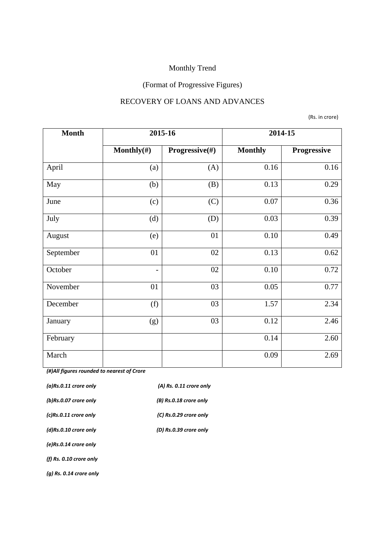## (Format of Progressive Figures)

#### RECOVERY OF LOANS AND ADVANCES

(Rs. in crore)

| <b>Month</b> | 2015-16                  |                           | 2014-15        |             |
|--------------|--------------------------|---------------------------|----------------|-------------|
|              | Monthly $(\#)$           | <b>Progressive</b> $(\#)$ | <b>Monthly</b> | Progressive |
| April        | (a)                      | (A)                       | 0.16           | 0.16        |
| May          | (b)                      | (B)                       | 0.13           | 0.29        |
| June         | (c)                      | (C)                       | 0.07           | 0.36        |
| July         | (d)                      | (D)                       | 0.03           | 0.39        |
| August       | (e)                      | 01                        | 0.10           | 0.49        |
| September    | 01                       | 02                        | 0.13           | 0.62        |
| October      | $\overline{\phantom{a}}$ | 02                        | 0.10           | 0.72        |
| November     | 01                       | 03                        | 0.05           | 0.77        |
| December     | (f)                      | 03                        | 1.57           | 2.34        |
| January      | (g)                      | 03                        | 0.12           | 2.46        |
| February     |                          |                           | 0.14           | 2.60        |
| March        |                          |                           | 0.09           | 2.69        |

| $(a)$ Rs.0.11 crore only  | (A) Rs. 0.11 crore only |
|---------------------------|-------------------------|
| (b)Rs.0.07 crore only     | (B) Rs.0.18 crore only  |
| $(c)$ Rs.0.11 crore only  | (C) Rs.0.29 crore only  |
| (d)Rs.0.10 crore only     | (D) Rs.0.39 crore only  |
| (e)Rs.0.14 crore only     |                         |
| (f) Rs. 0.10 crore only   |                         |
| $(q)$ Rs. 0.14 crore only |                         |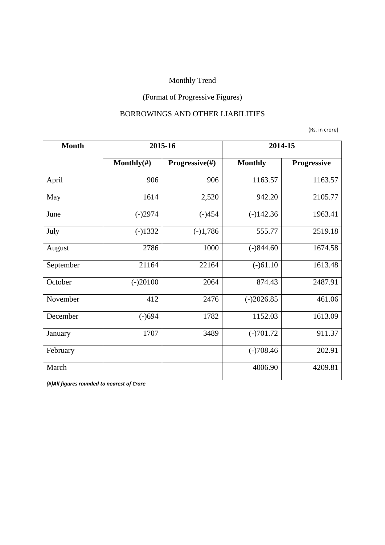## (Format of Progressive Figures)

#### BORROWINGS AND OTHER LIABILITIES

(Rs. in crore)

| <b>Month</b> | 2015-16        |                           | 2014-15        |             |
|--------------|----------------|---------------------------|----------------|-------------|
|              | Monthly $(\#)$ | <b>Progressive</b> $(\#)$ | <b>Monthly</b> | Progressive |
| April        | 906            | 906                       | 1163.57        | 1163.57     |
| May          | 1614           | 2,520                     | 942.20         | 2105.77     |
| June         | $(-)2974$      | $(-)454$                  | $(-)142.36$    | 1963.41     |
| July         | $(-)1332$      | $(-)1,786$                | 555.77         | 2519.18     |
| August       | 2786           | 1000                      | $(-)844.60$    | 1674.58     |
| September    | 21164          | 22164                     | $(-)61.10$     | 1613.48     |
| October      | $(-)20100$     | 2064                      | 874.43         | 2487.91     |
| November     | 412            | 2476                      | $(-)2026.85$   | 461.06      |
| December     | $(-)694$       | 1782                      | 1152.03        | 1613.09     |
| January      | 1707           | 3489                      | $(-)701.72$    | 911.37      |
| February     |                |                           | $(-)708.46$    | 202.91      |
| March        |                |                           | 4006.90        | 4209.81     |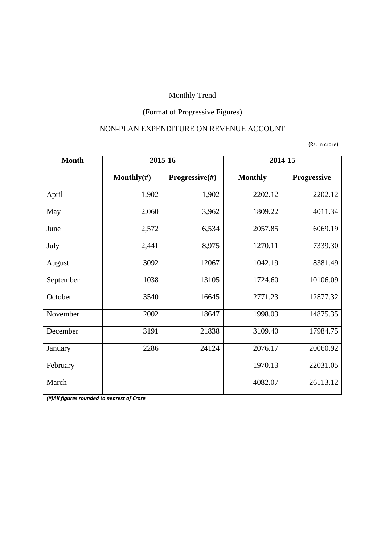## (Format of Progressive Figures)

#### NON-PLAN EXPENDITURE ON REVENUE ACCOUNT

(Rs. in crore)

| <b>Month</b> | 2015-16        |                | 2014-15        |             |
|--------------|----------------|----------------|----------------|-------------|
|              | Monthly $(\#)$ | Progressive(#) | <b>Monthly</b> | Progressive |
| April        | 1,902          | 1,902          | 2202.12        | 2202.12     |
| May          | 2,060          | 3,962          | 1809.22        | 4011.34     |
| June         | 2,572          | 6,534          | 2057.85        | 6069.19     |
| July         | 2,441          | 8,975          | 1270.11        | 7339.30     |
| August       | 3092           | 12067          | 1042.19        | 8381.49     |
| September    | 1038           | 13105          | 1724.60        | 10106.09    |
| October      | 3540           | 16645          | 2771.23        | 12877.32    |
| November     | 2002           | 18647          | 1998.03        | 14875.35    |
| December     | 3191           | 21838          | 3109.40        | 17984.75    |
| January      | 2286           | 24124          | 2076.17        | 20060.92    |
| February     |                |                | 1970.13        | 22031.05    |
| March        |                |                | 4082.07        | 26113.12    |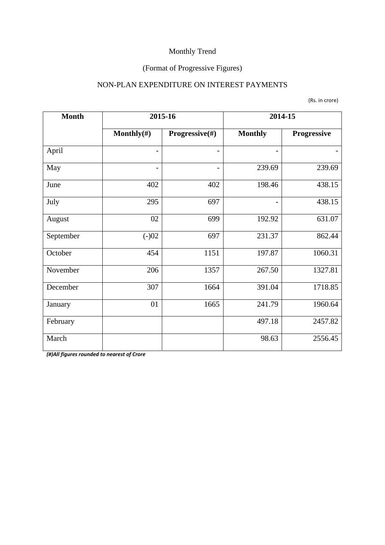## (Format of Progressive Figures)

#### NON-PLAN EXPENDITURE ON INTEREST PAYMENTS

(Rs. in crore)

| <b>Month</b> | 2015-16         |                | 2014-15                  |             |
|--------------|-----------------|----------------|--------------------------|-------------|
|              | Monthly $(\#)$  | Progressive(#) | <b>Monthly</b>           | Progressive |
| April        |                 |                |                          |             |
| May          | $\qquad \qquad$ |                | 239.69                   | 239.69      |
| June         | 402             | 402            | 198.46                   | 438.15      |
| July         | 295             | 697            | $\overline{\phantom{a}}$ | 438.15      |
| August       | 02              | 699            | 192.92                   | 631.07      |
| September    | $(-)02$         | 697            | 231.37                   | 862.44      |
| October      | 454             | 1151           | 197.87                   | 1060.31     |
| November     | 206             | 1357           | 267.50                   | 1327.81     |
| December     | 307             | 1664           | 391.04                   | 1718.85     |
| January      | 01              | 1665           | 241.79                   | 1960.64     |
| February     |                 |                | 497.18                   | 2457.82     |
| March        |                 |                | 98.63                    | 2556.45     |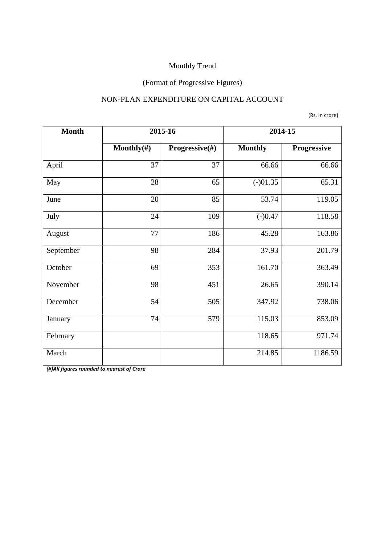## (Format of Progressive Figures)

#### NON-PLAN EXPENDITURE ON CAPITAL ACCOUNT

(Rs. in crore)

| <b>Month</b> | 2015-16        |                | 2014-15        |             |
|--------------|----------------|----------------|----------------|-------------|
|              | Monthly $(\#)$ | Progressive(#) | <b>Monthly</b> | Progressive |
| April        | 37             | 37             | 66.66          | 66.66       |
| May          | 28             | 65             | $(-)01.35$     | 65.31       |
| June         | 20             | 85             | 53.74          | 119.05      |
| July         | 24             | 109            | $(-)0.47$      | 118.58      |
| August       | 77             | 186            | 45.28          | 163.86      |
| September    | 98             | 284            | 37.93          | 201.79      |
| October      | 69             | 353            | 161.70         | 363.49      |
| November     | 98             | 451            | 26.65          | 390.14      |
| December     | 54             | 505            | 347.92         | 738.06      |
| January      | 74             | 579            | 115.03         | 853.09      |
| February     |                |                | 118.65         | 971.74      |
| March        |                |                | 214.85         | 1186.59     |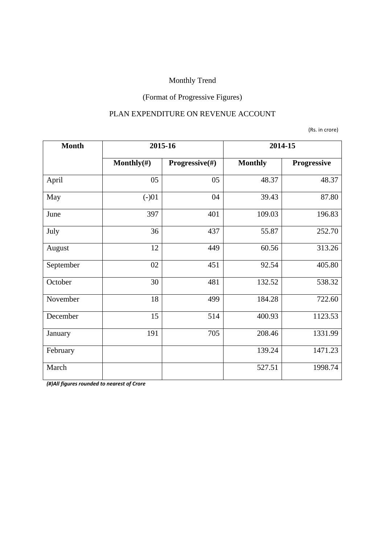## (Format of Progressive Figures)

#### PLAN EXPENDITURE ON REVENUE ACCOUNT

(Rs. in crore)

| <b>Month</b> | 2015-16        |                | 2014-15        |             |
|--------------|----------------|----------------|----------------|-------------|
|              | Monthly $(\#)$ | Progressive(#) | <b>Monthly</b> | Progressive |
| April        | 05             | 05             | 48.37          | 48.37       |
| May          | $(-)01$        | 04             | 39.43          | 87.80       |
| June         | 397            | 401            | 109.03         | 196.83      |
| July         | 36             | 437            | 55.87          | 252.70      |
| August       | 12             | 449            | 60.56          | 313.26      |
| September    | 02             | 451            | 92.54          | 405.80      |
| October      | 30             | 481            | 132.52         | 538.32      |
| November     | 18             | 499            | 184.28         | 722.60      |
| December     | 15             | 514            | 400.93         | 1123.53     |
| January      | 191            | 705            | 208.46         | 1331.99     |
| February     |                |                | 139.24         | 1471.23     |
| March        |                |                | 527.51         | 1998.74     |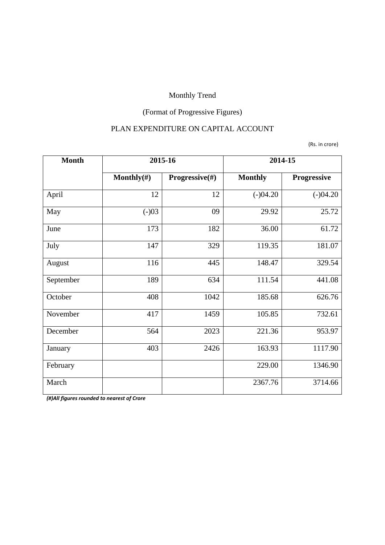## (Format of Progressive Figures)

#### PLAN EXPENDITURE ON CAPITAL ACCOUNT

(Rs. in crore)

| <b>Month</b> | 2015-16        |                | 2014-15        |             |
|--------------|----------------|----------------|----------------|-------------|
|              | Monthly $(\#)$ | Progressive(#) | <b>Monthly</b> | Progressive |
| April        | 12             | 12             | $(-)04.20$     | $(-)04.20$  |
| May          | $(-)03$        | 09             | 29.92          | 25.72       |
| June         | 173            | 182            | 36.00          | 61.72       |
| July         | 147            | 329            | 119.35         | 181.07      |
| August       | 116            | 445            | 148.47         | 329.54      |
| September    | 189            | 634            | 111.54         | 441.08      |
| October      | 408            | 1042           | 185.68         | 626.76      |
| November     | 417            | 1459           | 105.85         | 732.61      |
| December     | 564            | 2023           | 221.36         | 953.97      |
| January      | 403            | 2426           | 163.93         | 1117.90     |
| February     |                |                | 229.00         | 1346.90     |
| March        |                |                | 2367.76        | 3714.66     |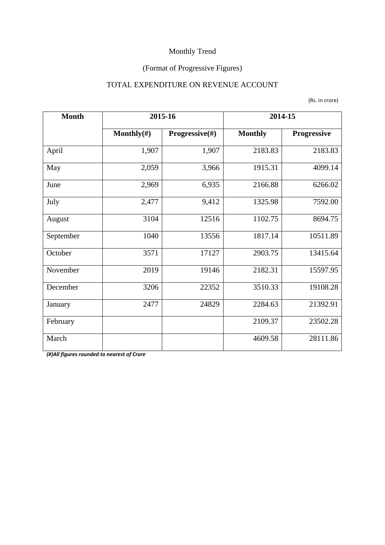## (Format of Progressive Figures)

#### TOTAL EXPENDITURE ON REVENUE ACCOUNT

|  | (Rs. in crore) |  |
|--|----------------|--|
|--|----------------|--|

| <b>Month</b> | 2015-16        |                           | 2014-15        |                    |  |
|--------------|----------------|---------------------------|----------------|--------------------|--|
|              | Monthly $(\#)$ | <b>Progressive</b> $(\#)$ | <b>Monthly</b> | <b>Progressive</b> |  |
| April        | 1,907          | 1,907                     | 2183.83        | 2183.83            |  |
| May          | 2,059          | 3,966                     | 1915.31        | 4099.14            |  |
| June         | 2,969          | 6,935                     | 2166.88        | 6266.02            |  |
| July         | 2,477          | 9,412                     | 1325.98        | 7592.00            |  |
| August       | 3104           | 12516                     | 1102.75        | 8694.75            |  |
| September    | 1040           | 13556                     | 1817.14        | 10511.89           |  |
| October      | 3571           | 17127                     | 2903.75        | 13415.64           |  |
| November     | 2019           | 19146                     | 2182.31        | 15597.95           |  |
| December     | 3206           | 22352                     | 3510.33        | 19108.28           |  |
| January      | 2477           | 24829                     | 2284.63        | 21392.91           |  |
| February     |                |                           | 2109.37        | 23502.28           |  |
| March        |                |                           | 4609.58        | 28111.86           |  |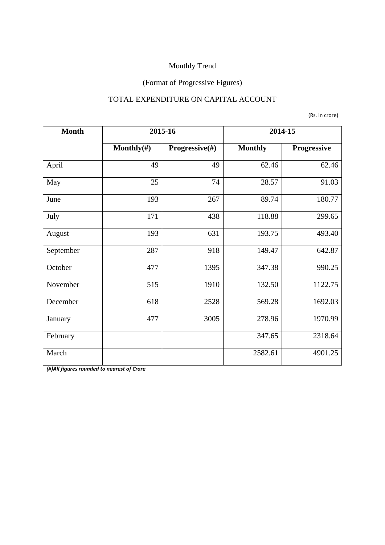## (Format of Progressive Figures)

#### TOTAL EXPENDITURE ON CAPITAL ACCOUNT

(Rs. in crore)

| <b>Month</b> | 2015-16        |                | 2014-15        |             |
|--------------|----------------|----------------|----------------|-------------|
|              | Monthly $(\#)$ | Progressive(#) | <b>Monthly</b> | Progressive |
| April        | 49             | 49             | 62.46          | 62.46       |
| May          | 25             | 74             | 28.57          | 91.03       |
| June         | 193            | 267            | 89.74          | 180.77      |
| July         | 171            | 438            | 118.88         | 299.65      |
| August       | 193            | 631            | 193.75         | 493.40      |
| September    | 287            | 918            | 149.47         | 642.87      |
| October      | 477            | 1395           | 347.38         | 990.25      |
| November     | 515            | 1910           | 132.50         | 1122.75     |
| December     | 618            | 2528           | 569.28         | 1692.03     |
| January      | 477            | 3005           | 278.96         | 1970.99     |
| February     |                |                | 347.65         | 2318.64     |
| March        |                |                | 2582.61        | 4901.25     |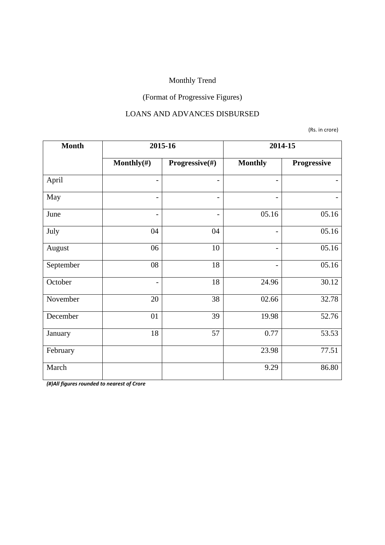## (Format of Progressive Figures)

#### LOANS AND ADVANCES DISBURSED

(Rs. in crore)

| <b>Month</b> | 2015-16                  |                          | 2014-15                  |             |  |
|--------------|--------------------------|--------------------------|--------------------------|-------------|--|
|              | Monthly $(\#)$           | Progressive(#)           | <b>Monthly</b>           | Progressive |  |
| April        | $\overline{\phantom{a}}$ |                          | $\overline{\phantom{0}}$ |             |  |
| May          | $\overline{\phantom{a}}$ | $\overline{\phantom{a}}$ | $\overline{\phantom{0}}$ |             |  |
| June         | $\overline{\phantom{a}}$ | $\overline{\phantom{0}}$ | 05.16                    | 05.16       |  |
| July         | 04                       | 04                       | $\overline{a}$           | 05.16       |  |
| August       | 06                       | 10                       | $\overline{\phantom{0}}$ | 05.16       |  |
| September    | 08                       | 18                       |                          | 05.16       |  |
| October      | $\overline{\phantom{a}}$ | 18                       | 24.96                    | 30.12       |  |
| November     | 20                       | 38                       | 02.66                    | 32.78       |  |
| December     | 01                       | 39                       | 19.98                    | 52.76       |  |
| January      | 18                       | 57                       | 0.77                     | 53.53       |  |
| February     |                          |                          | 23.98                    | 77.51       |  |
| March        |                          |                          | 9.29                     | 86.80       |  |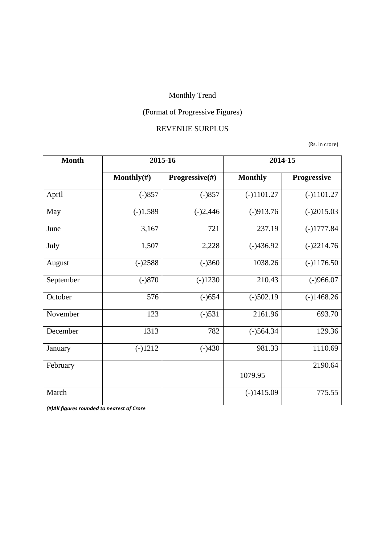## (Format of Progressive Figures)

#### REVENUE SURPLUS

(Rs. in crore)

| <b>Month</b> | 2015-16<br>Monthly $(\#)$<br>Progressive(#) |            | 2014-15        |              |  |
|--------------|---------------------------------------------|------------|----------------|--------------|--|
|              |                                             |            | <b>Monthly</b> | Progressive  |  |
| April        | $(-)857$                                    | $(-)857$   | $(-)1101.27$   | $(-)1101.27$ |  |
| May          | $(-)1,589$                                  | $(-)2,446$ | $(-)913.76$    | $(-)2015.03$ |  |
| June         | 3,167                                       | 721        | 237.19         | $(-)1777.84$ |  |
| July         | 1,507                                       | 2,228      | $(-)436.92$    | $(-)2214.76$ |  |
| August       | $(-)2588$                                   | $(-)360$   | 1038.26        | $(-)1176.50$ |  |
| September    | $(-)870$                                    | $(-)1230$  | 210.43         | $(-)966.07$  |  |
| October      | 576                                         | $(-)654$   | $(-)502.19$    | $(-)1468.26$ |  |
| November     | 123                                         | $(-)531$   | 2161.96        | 693.70       |  |
| December     | 1313                                        | 782        | $(-)564.34$    | 129.36       |  |
| January      | $(-)1212$                                   | $(-)430$   | 981.33         | 1110.69      |  |
| February     |                                             |            | 1079.95        | 2190.64      |  |
|              |                                             |            |                |              |  |
| March        |                                             |            | $(-)1415.09$   | 775.55       |  |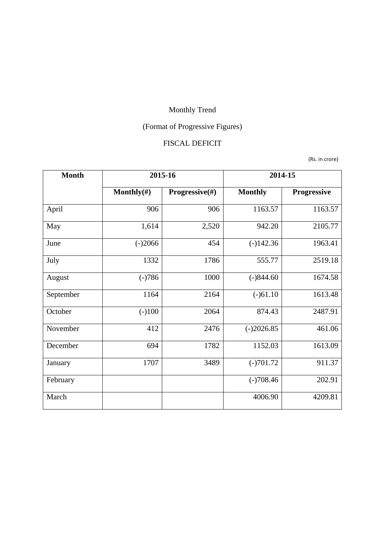# (Format of Progressive Figures)

#### FISCAL DEFICIT

(Rs. in crore)

| <b>Month</b> | 2015-16        |                | 2014-15        |             |  |
|--------------|----------------|----------------|----------------|-------------|--|
|              | Monthly $(\#)$ | Progressive(#) | <b>Monthly</b> | Progressive |  |
| April        | 906            | 906            | 1163.57        | 1163.57     |  |
| May          | 1,614          | 2,520          | 942.20         | 2105.77     |  |
| June         | $(-)2066$      | 454            | $(-)142.36$    | 1963.41     |  |
| July         | 1332           | 1786           | 555.77         | 2519.18     |  |
| August       | $(-)786$       | 1000           | $(-)844.60$    | 1674.58     |  |
| September    | 1164           | 2164           | $(-)61.10$     | 1613.48     |  |
| October      | $(-)100$       | 2064           | 874.43         | 2487.91     |  |
| November     | 412            | 2476           | $(-)2026.85$   | 461.06      |  |
| December     | 694            | 1782           | 1152.03        | 1613.09     |  |
| January      | 1707           | 3489           | $(-)701.72$    | 911.37      |  |
| February     |                |                | $(-)708.46$    | 202.91      |  |
| March        |                |                | 4006.90        | 4209.81     |  |